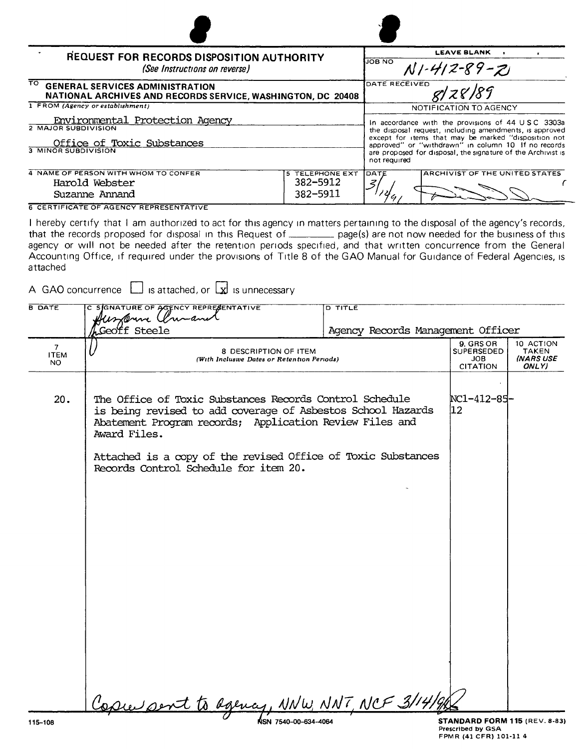| REQUEST FOR RECORDS DISPOSITION AUTHORITY                                                                   |                                                                                                                                                                                             | <b>LEAVE BLANK</b>                                                                                           |
|-------------------------------------------------------------------------------------------------------------|---------------------------------------------------------------------------------------------------------------------------------------------------------------------------------------------|--------------------------------------------------------------------------------------------------------------|
| (See Instructions on reverse)                                                                               | <b>JOB NO</b><br>$N1 - 412 - 89 - Z1$                                                                                                                                                       |                                                                                                              |
| ਜਨ<br><b>GENERAL SERVICES ADMINISTRATION</b><br>NATIONAL ARCHIVES AND RECORDS SERVICE, WASHINGTON, DC 20408 |                                                                                                                                                                                             | DATE RECEIVED                                                                                                |
| 1 FROM (Agency or establishment)                                                                            |                                                                                                                                                                                             | NOTIFICATION TO AGENCY                                                                                       |
| Environmental Protection Agency<br><b>2 MAJOR SUBDIVISION</b>                                               |                                                                                                                                                                                             | In accordance with the provisions of 44 USC 3303a<br>the disposal request, including amendments, is approved |
| Office of Toxic Substances<br><b>3 MINOR SUBDIVISION</b>                                                    | except for items that may be marked "disposition not<br>approved" or "withdrawn" in column 10 If no records<br>are proposed for disposal, the signature of the Archivist is<br>not required |                                                                                                              |
| 4 NAME OF PERSON WITH WHOM TO CONFER<br>Harold Webster<br>Suzanne Annand                                    | <b>5 TELEPHONE EXT</b><br>382-5912<br>382-5911                                                                                                                                              | <b>ARCHIVIST OF THE UNITED STATES</b><br>DATE<br>z                                                           |
| <b>6 CERTIFICATE OF AGENCY REPRESENTATIVE</b>                                                               |                                                                                                                                                                                             |                                                                                                              |

6 CERTIFICATE OF AGENCY REPRESENTATIVE

I hereby certify that I am authorized to act for this agency in matters pertaining to the disposal of the agency's records, that the records proposed for disposal in this Request of **pack 10 manufator** page(s) are not now needed for the business of this agency or will not be needed after the retention periods specified, and that written concurrence from the General Accounting Office, if required under the provisions of Title 8 of the GAO Manual for Guidance of Federal Agencies, is attached

A GAO concurrence  $\Box$  is attached, or  $\Box$  is unnecessary

| <b>B DATE</b>                        | C SIGNATURE OF AGENCY REPRESENTATIVE<br>funderine Umanet                                                                                                                                                                                                                                                   | <b>D TITLE</b>                    |                                                                                                              |
|--------------------------------------|------------------------------------------------------------------------------------------------------------------------------------------------------------------------------------------------------------------------------------------------------------------------------------------------------------|-----------------------------------|--------------------------------------------------------------------------------------------------------------|
|                                      | Geoff Steele                                                                                                                                                                                                                                                                                               | Agency Records Management Officer |                                                                                                              |
| 7 <sup>7</sup><br><b>ITEM</b><br>NO. | 8 DESCRIPTION OF ITEM<br>(With Inclusive Dates or Retention Periods)                                                                                                                                                                                                                                       |                                   | 9. GRS OR<br>10 ACTION<br><b>SUPERSEDED</b><br><b>TAKEN</b><br>(NARS USE<br>JOB.<br><b>CITATION</b><br>ONLY) |
| 20.                                  | The Office of Toxic Substances Records Control Schedule<br>is being revised to add coverage of Asbestos School Hazards<br>Abatement Program records; Application Review Files and<br>Award Files.<br>Attached is a copy of the revised Office of Toxic Substances<br>Records Control Schedule for item 20. |                                   | NC1-412-85-<br>12 <sub>2</sub>                                                                               |
|                                      | Copie pent to agency, NNW, NNT, NCF 3/14/                                                                                                                                                                                                                                                                  |                                   |                                                                                                              |
| 115-108                              |                                                                                                                                                                                                                                                                                                            |                                   | STANDARD FORM 115 (REV. 8-83                                                                                 |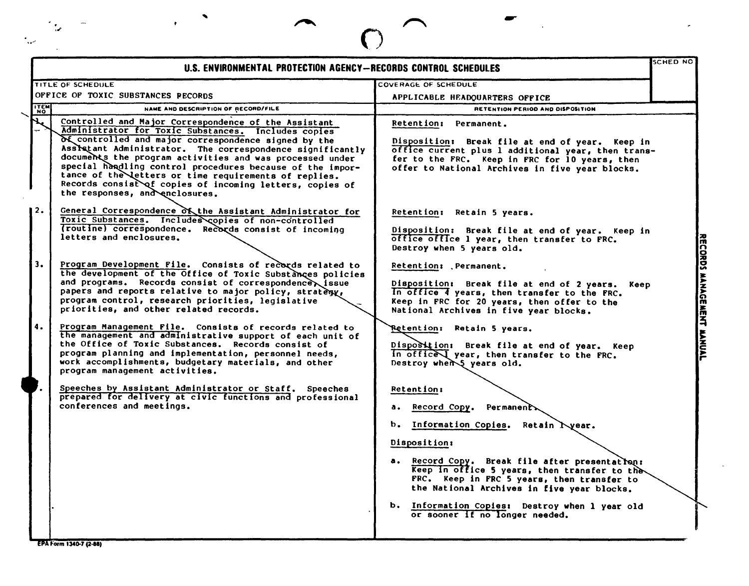| U.S. ENVIRONMENTAL PROTECTION AGENCY-RECORDS CONTROL SCHEDULES                                                                                                                                                                                                                                                                                                                                                                                                                                                   |                                                                                                                                                                                                                                                                                                                                                                                                   | SCHED NO |
|------------------------------------------------------------------------------------------------------------------------------------------------------------------------------------------------------------------------------------------------------------------------------------------------------------------------------------------------------------------------------------------------------------------------------------------------------------------------------------------------------------------|---------------------------------------------------------------------------------------------------------------------------------------------------------------------------------------------------------------------------------------------------------------------------------------------------------------------------------------------------------------------------------------------------|----------|
| TITLE OF SCHEDULE                                                                                                                                                                                                                                                                                                                                                                                                                                                                                                | COVERAGE OF SCHEDULE                                                                                                                                                                                                                                                                                                                                                                              |          |
| OFFICE OF TOXIC SUBSTANCES PECORDS                                                                                                                                                                                                                                                                                                                                                                                                                                                                               | APPLICABLE HEADQUARTERS OFFICE                                                                                                                                                                                                                                                                                                                                                                    |          |
| <b>TEM</b><br>NAME AND DESCRIPTION OF RECORD/FILE                                                                                                                                                                                                                                                                                                                                                                                                                                                                | RETENTION PERIOD AND DISPOSITION                                                                                                                                                                                                                                                                                                                                                                  |          |
| Controlled and Major Correspondence of the Assistant<br>Administrator for Toxic Substances. Includes copies<br>of controlled and major correspondence signed by the<br>Assistant Administrator. The correspondence significantly<br>documents the program activities and was processed under<br>special handling control procedures because of the impor-<br>tance of the letters or time requirements of replies.<br>Records consist of copies of incoming letters, copies of<br>the responses, and enclosures. | Retention: Permanent.<br>Disposition: Break file at end of year. Keep in<br>office current plus 1 additional year, then trans-<br>fer to the FRC. Keep in FRC for 10 years, then<br>offer to National Archives in five year blocks.                                                                                                                                                               |          |
| General Correspondence of the Assistant Administrator for<br>Toxic Substances. Includes copies of non-controlled<br>(routine) correspondence. Records consist of incoming<br>letters and enclosures.                                                                                                                                                                                                                                                                                                             | Retention: Retain 5 years.<br>Disposition: Break file at end of year. Keep in<br>office office 1 year, then transfer to FRC.<br>Destroy when 5 years old.                                                                                                                                                                                                                                         |          |
| Program Development File. Consists of records related to<br>the development of the Office of Toxic Substances policies<br>and programs. Records consist of correspondence issue<br>papers and reports relative to major policy, stratesy,<br>program control, research priorities, legislative<br>priorities, and other related records.                                                                                                                                                                         | Retention: Permanent.<br>Disposition: Break file at end of 2 years. Keep<br>In office 4 years, then transfer to the FRC.<br>Keep in FRC for 20 years, then offer to the<br>National Archives in five year blocks.                                                                                                                                                                                 |          |
| Program Management File. Consists of records related to<br>the management and administrative support of each unit of<br>the Office of Toxic Substances. Records consist of<br>program planning and implementation, personnel needs,<br>work accomplishments, budgetary materials, and other<br>program management activities.                                                                                                                                                                                    | Retention: Retain 5 years.<br>Disposition: Break file at end of year. Keep<br>In office year, then transfer to the FRC.<br>Destroy when I years old.                                                                                                                                                                                                                                              |          |
| Speeches by Assistant Administrator or Staff. Speeches<br>prepared for delivery at civic functions and professional<br>conferences and meetings.                                                                                                                                                                                                                                                                                                                                                                 | <b>Retention:</b><br>Record Copy.<br>Permanent<br>а.<br>b.<br>Information Copies. Retain Lyear.<br>Disposition:<br>a. Record Copy. Break file after presentation:<br>Keep in office 5 years, then transfer to the<br>FRC. Keep in FRC 5 years, then transfer to<br>the National Archives in five year blocks.<br>b. Information Copies: Destroy when 1 year old<br>or sooner If no longer needed. |          |

ر<br>سود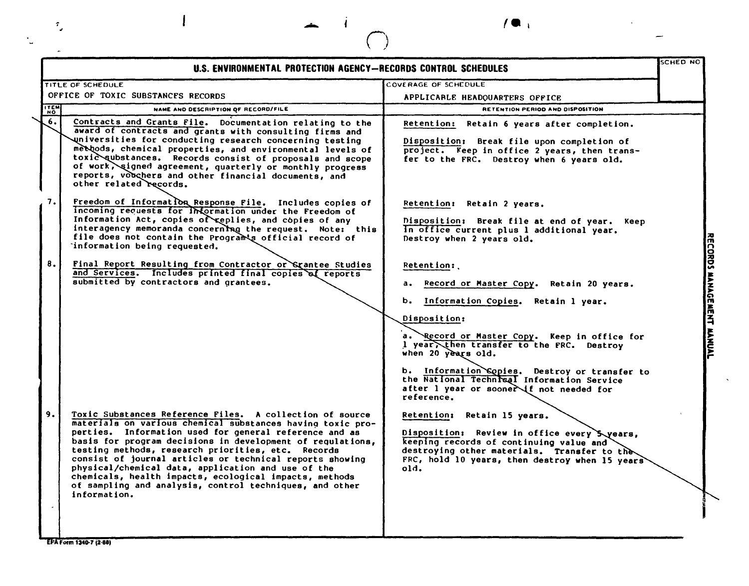| T.                |                                                                                                                                                                                                                                                                                                                                                                                                                                                                                                                                                                                       |                                                                                                                                                                                                                                                                                                                                                                                                                |                           |
|-------------------|---------------------------------------------------------------------------------------------------------------------------------------------------------------------------------------------------------------------------------------------------------------------------------------------------------------------------------------------------------------------------------------------------------------------------------------------------------------------------------------------------------------------------------------------------------------------------------------|----------------------------------------------------------------------------------------------------------------------------------------------------------------------------------------------------------------------------------------------------------------------------------------------------------------------------------------------------------------------------------------------------------------|---------------------------|
|                   | U.S. ENVIRONMENTAL PROTECTION AGENCY-RECORDS CONTROL SCHEDULES                                                                                                                                                                                                                                                                                                                                                                                                                                                                                                                        |                                                                                                                                                                                                                                                                                                                                                                                                                | SCHED NO                  |
|                   | TITLE OF SCHEDULE<br>OFFICE OF TOXIC SUBSTANCES RECORDS                                                                                                                                                                                                                                                                                                                                                                                                                                                                                                                               | COVERAGE OF SCHEDULE<br>APPLICARLE HEADOUARTERS OFFICE                                                                                                                                                                                                                                                                                                                                                         |                           |
| <b>ITEM</b><br>6. | NAME AND DESCRIPTION OF RECORD/FILE<br>Contracts and Grants File. Documentation relating to the<br>award of contracts and grants with consulting firms and<br>universities for conducting research concerning testing<br>methods, chemical properties, and environmental levels of<br>toxic qubstances. Records consist of proposals and scope<br>of work, signed agreement, quarterly or monthly progress<br>reports, vouchers and other financial documents, and<br>other related records.                                                                                          | RETENTION PERIOD AND DISPOSITION<br>Retention: Retain 6 years after completion.<br>Disposition: Break file upon completion of<br>project. Keep in office 2 years, then trans-<br>fer to the FRC. Destroy when 6 years old.                                                                                                                                                                                     |                           |
| 7.<br>8.          | Freedom of Information Response File. Includes copies of<br>incoming requests for information under the Freedom of<br>Information Act, copies of replies, and copies of any<br>interagency memoranda concerning the request. Note: this<br>file does not contain the Program's official record of<br>information being requested.<br>Final Report Resulting from Contractor or Srantee Studies<br>and Services. Includes printed final copies of reports<br>submitted by contractors and grantees.                                                                                    | Retention: Retain 2 years.<br>Disposition: Break file at end of year.<br>Keep<br>In office current plus 1 additional year.<br>Destroy when 2 years old.<br>Retention:<br>Record or Master Copy. Retain 20 years.<br>Information Copies. Retain 1 year.<br>ь.<br>Disposition:<br>a. Record or Master Copy. Keep in office for<br>1 year, then transfer to the FRC. Destroy                                      | RECORDS MANAGEMENT MANUAL |
| 9.                | Toxic Substances Reference Files. A collection of source<br>materials on various chemical substances having toxic pro-<br>perties. Information used for general reference and as<br>basis for program decisions in development of regulations,<br>testing methods, research priorities, etc. Records<br>consist of journal articles or technical reports showing<br>physical/chemical data, application and use of the<br>chemicals, health impacts, ecological impacts, methods<br>of sampling and analysis, control techniques, and other<br>information.<br>EPA Form 1340-7 (2-88) | when 20 years old.<br>b. Information Sopies. Destroy or transfer to<br>the National Technisal Information Service<br>after 1 year or sooner if not needed for<br>reference.<br>Retention: Retain 15 years.<br>Disposition: Review in office every 5 years,<br>keeping records of continuing value and<br>destroying other materials. Transfer to the<br>FRC, hold 10 years, then destroy when 15 years<br>old. |                           |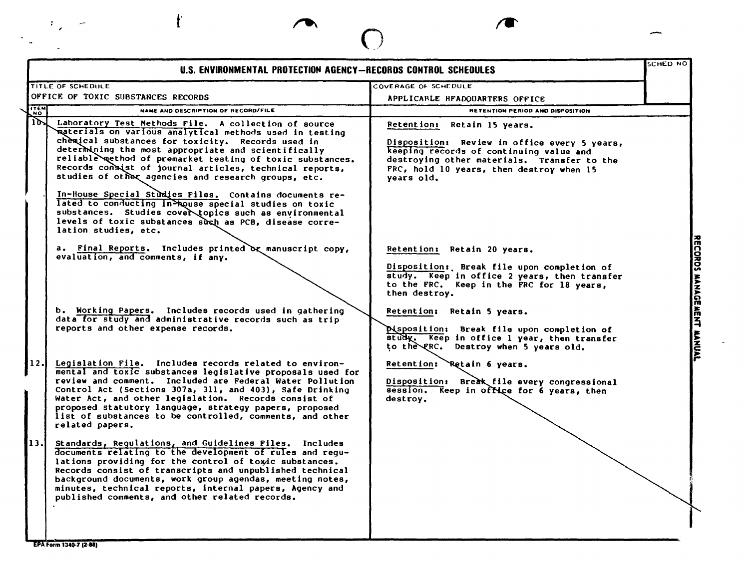| U.S. ENVIRONMENTAL PROTECTION AGENCY-RECORDS CONTROL SCHEDULES                                                                                                                                                                                                                                                                                                                                                                                                                                                                                                                                                                                              |                                                                                                                                                                                                                                                                                                                           | SCHED NO |
|-------------------------------------------------------------------------------------------------------------------------------------------------------------------------------------------------------------------------------------------------------------------------------------------------------------------------------------------------------------------------------------------------------------------------------------------------------------------------------------------------------------------------------------------------------------------------------------------------------------------------------------------------------------|---------------------------------------------------------------------------------------------------------------------------------------------------------------------------------------------------------------------------------------------------------------------------------------------------------------------------|----------|
| <b>TITLE OF SCHEDULE</b>                                                                                                                                                                                                                                                                                                                                                                                                                                                                                                                                                                                                                                    | COVERAGE OF SCHEDULE                                                                                                                                                                                                                                                                                                      |          |
| OFFICE OF TOXIC SUBSTANCES RECORDS                                                                                                                                                                                                                                                                                                                                                                                                                                                                                                                                                                                                                          | APPLICABLE HFADOUARTERS OFFICE                                                                                                                                                                                                                                                                                            |          |
| <b>NO.</b><br>NAME AND DESCRIPTION OF RECORD/FILE                                                                                                                                                                                                                                                                                                                                                                                                                                                                                                                                                                                                           | RETENTION PERIOD AND DISPOSITION                                                                                                                                                                                                                                                                                          |          |
| $10-1$<br>Laboratory Test Methods File. A collection of source<br>materials on various analytical methods used in testing<br>chemical substances for toxicity. Records used in<br>determining the most appropriate and scientifically<br>reliable method of premarket testing of toxic substances.<br>Records consist of journal articles, technical reports,<br>studies of other agencies and research groups, etc.<br>In-House Special Studies Files. Contains documents re-<br>lated to conducting in-house special studies on toxic<br>substances. Studies cover topics such as environmental<br>levels of toxic substances such as PCB, disease corre- | Retention: Retain 15 years.<br>Disposition: Review in office every 5 years,<br>keeping records of continuing value and<br>destroying other materials. Transfer to the<br>FRC, hold 10 years, then destroy when 15<br>years old.                                                                                           |          |
| lation studies, etc.<br>a. Final Reports. Includes printed or manuscript copy,<br>evaluation, and comments, if any.<br>b. Working Papers. Includes records used in gathering<br>data for study and administrative records such as trip<br>reports and other expense records.                                                                                                                                                                                                                                                                                                                                                                                | Retention: Retain 20 years.<br>Disposition: Break file upon completion of<br>study. Keep in office 2 years, then transfer<br>to the FRC. Keep in the FRC for 18 years,<br>then destroy.<br>Retention: Retain 5 years.<br><b>Misposition:</b> Break file upon completion of<br>study. Keep in office 1 year, then transfer |          |
| Legislation File. Includes records related to environ-<br>mental and toxic substances legislative proposals used for<br>review and comment. Included are Federal Water Pollution<br>Control Act (Sections 307a, 311, and 403), Safe Drinking<br>Water Act, and other legislation. Records consist of<br>proposed statutory language, strategy papers, proposed<br>list of substances to be controlled, comments, and other<br>related papers.                                                                                                                                                                                                               | to the FRC. Destroy when 5 years old.<br>Retention: Retain 6 years.<br>Disposition: Break file every congressional<br>session.<br>Keep in office for 6 years, then<br>destroy.                                                                                                                                            |          |
| Standards, Regulations, and Guidelines Files. Includes<br>documents relating to the development of rules and regu-<br>lations providing for the control of toxic substances.<br>Records consist of transcripts and unpublished technical<br>background documents, work group agendas, meeting notes,<br>minutes, technical reports, internal papers, Agency and<br>published comments, and other related records.                                                                                                                                                                                                                                           |                                                                                                                                                                                                                                                                                                                           |          |

 $\overline{a}$ 

EPA Form 1340-7 (2-88)

 $\mathcal{O}_{\mathcal{A}}$ 

 $\epsilon_{\rm s}$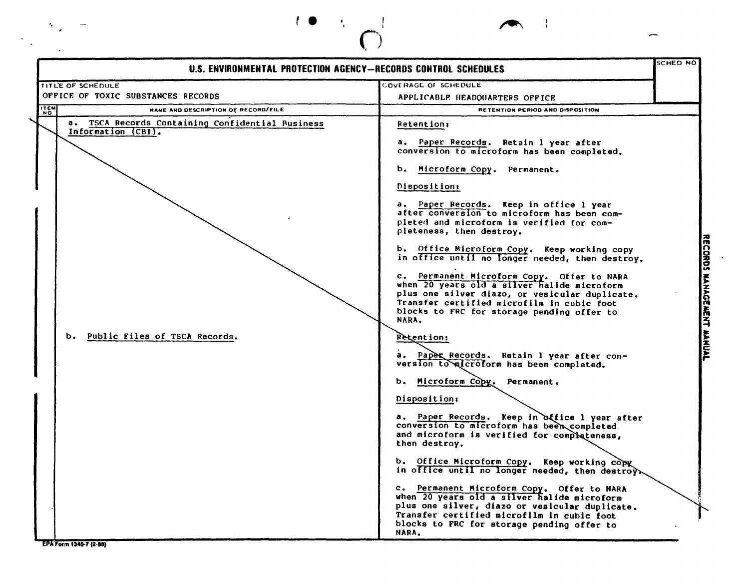

,

-, *f.* ,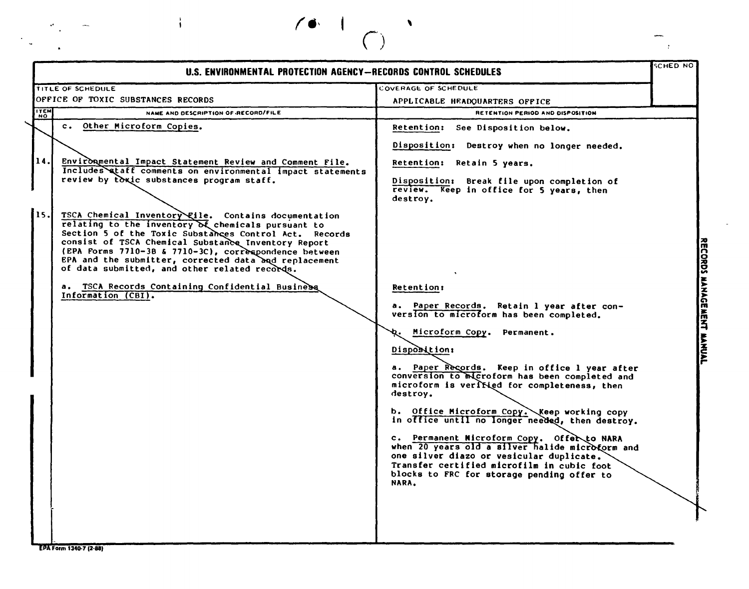|             | U.S. ENVIRONMENTAL PROTECTION AGENCY-RECORDS CONTROL SCHEDULES                                                                                                                                                                                                                                                                                                                                                                                     |                                                                                                                                                                                                                                                       | SCHED NO |
|-------------|----------------------------------------------------------------------------------------------------------------------------------------------------------------------------------------------------------------------------------------------------------------------------------------------------------------------------------------------------------------------------------------------------------------------------------------------------|-------------------------------------------------------------------------------------------------------------------------------------------------------------------------------------------------------------------------------------------------------|----------|
|             | <b>TITLE OF SCHEDULE</b>                                                                                                                                                                                                                                                                                                                                                                                                                           | COVERAGE OF SCHEDULE                                                                                                                                                                                                                                  |          |
|             | OFFICE OF TOXIC SUBSTANCES RECORDS                                                                                                                                                                                                                                                                                                                                                                                                                 | APPLICABLE HEADQUARTERS OFFICE                                                                                                                                                                                                                        |          |
| <b>ITEM</b> | NAME AND DESCRIPTION OF RECORD/FILE                                                                                                                                                                                                                                                                                                                                                                                                                | RETENTION PERIOD AND DISPOSITION                                                                                                                                                                                                                      |          |
|             | c. Other Microform Copies.                                                                                                                                                                                                                                                                                                                                                                                                                         | <b>Retention:</b><br>See Disposition below.                                                                                                                                                                                                           |          |
|             |                                                                                                                                                                                                                                                                                                                                                                                                                                                    | Disposition: Destroy when no longer needed.                                                                                                                                                                                                           |          |
| 14.1        | Environmental Impact Statement Review and Comment File.                                                                                                                                                                                                                                                                                                                                                                                            | Retention: Retain 5 years.                                                                                                                                                                                                                            |          |
|             | Includes ataff comments on environmental impact statements<br>review by toxic substances program staff.                                                                                                                                                                                                                                                                                                                                            | Disposition: Break file upon completion of<br>review. Keep in office for 5 years, then<br>destroy.                                                                                                                                                    |          |
| 15.         | TSCA Chemical Inventory File. Contains documentation<br>relating to the inventory of chemicals pursuant to<br>Section 5 of the Toxic Substances Control Act. Records<br>consist of TSCA Chemical Substance Inventory Report<br>(EPA Forms 7710-38 & 7710-3C), correspondence between<br>EPA and the submitter, corrected data and replacement<br>of data submitted, and other related records.<br>a. TSCA Records Containing Confidential Business | <b>Retention:</b>                                                                                                                                                                                                                                     |          |
|             | Information (CBI).                                                                                                                                                                                                                                                                                                                                                                                                                                 | a. Paper Records. Retain 1 year after con-<br>version to microform has been completed.                                                                                                                                                                |          |
|             |                                                                                                                                                                                                                                                                                                                                                                                                                                                    | Microform Copy. Permanent.<br>Disposition:                                                                                                                                                                                                            |          |
|             |                                                                                                                                                                                                                                                                                                                                                                                                                                                    | a. Paper Records. Keep in office 1 year after<br>conversion to Mcroform has been completed and<br>microform is veribied for completeness, then<br>destroy.                                                                                            |          |
|             |                                                                                                                                                                                                                                                                                                                                                                                                                                                    | b. Office Microform Copy. Keep working copy<br>in office until no longer needed, then destroy.                                                                                                                                                        |          |
|             |                                                                                                                                                                                                                                                                                                                                                                                                                                                    | c. Permanent Nicroform Copy. Offer to NARA<br>when 20 years old a silver halide microform and<br>one silver diazo or vesicular duplicate.<br>Transfer certified microfilm in cubic foot<br>blocks to FRC for storage pending offer to<br><b>NARA.</b> |          |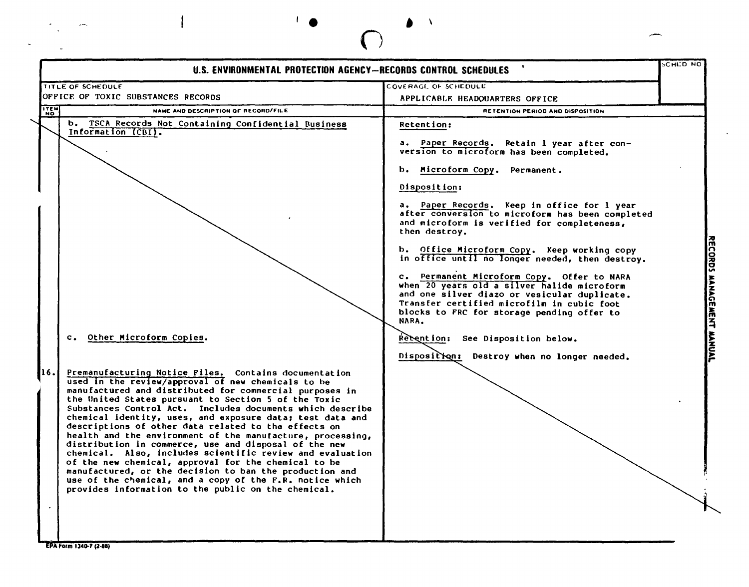|             | U.S. ENVIRONMENTAL PROTECTION AGENCY-RECORDS CONTROL SCHEDULES                                                                                                                                                                                                                                      |                                                                                                                                                                                                                                                | <b>SCHED NO</b> |
|-------------|-----------------------------------------------------------------------------------------------------------------------------------------------------------------------------------------------------------------------------------------------------------------------------------------------------|------------------------------------------------------------------------------------------------------------------------------------------------------------------------------------------------------------------------------------------------|-----------------|
|             | TITLE OF SCHEDULE                                                                                                                                                                                                                                                                                   | COVERAGE OF SCHEDULE                                                                                                                                                                                                                           |                 |
|             | OFFICE OF TOXIC SUBSTANCES RECORDS                                                                                                                                                                                                                                                                  | APPLICABLE HEADQUARTERS OFFICE                                                                                                                                                                                                                 |                 |
| <b>ITEM</b> | NAME AND DESCRIPTION OF RECORD/FILE                                                                                                                                                                                                                                                                 | RETENTION PERIOD AND DISPOSITION                                                                                                                                                                                                               |                 |
|             | b. TSCA Records Not Containing Confidential Business<br>Information (CBI).                                                                                                                                                                                                                          | Retention:                                                                                                                                                                                                                                     |                 |
|             |                                                                                                                                                                                                                                                                                                     | a. Paper Records. Retain 1 year after con-<br>version to microform has been completed.                                                                                                                                                         |                 |
|             |                                                                                                                                                                                                                                                                                                     | b. Microform Copy. Permanent.                                                                                                                                                                                                                  |                 |
|             |                                                                                                                                                                                                                                                                                                     | Disposition:                                                                                                                                                                                                                                   |                 |
|             |                                                                                                                                                                                                                                                                                                     | a. Paper Records. Keep in office for 1 year<br>after conversion to microform has been completed<br>and microform is verified for completeness,<br>then destroy.                                                                                |                 |
|             |                                                                                                                                                                                                                                                                                                     | b. Office Microform Copy. Keep working copy<br>in office until no longer needed, then destroy.                                                                                                                                                 |                 |
|             |                                                                                                                                                                                                                                                                                                     | c. Permanent Microform Copy. Offer to NARA<br>when 20 years old a silver halide microform<br>and one silver diazo or vesicular duplicate.<br>Transfer certified microfilm in cubic foot<br>blocks to FRC for storage pending offer to<br>NARA. |                 |
|             | c. Other Microform Copies.                                                                                                                                                                                                                                                                          | Rebention: See Disposition below.                                                                                                                                                                                                              |                 |
|             |                                                                                                                                                                                                                                                                                                     | Disposition:<br>Destroy when no longer needed.                                                                                                                                                                                                 |                 |
|             | Premanufacturing Notice Files. Contains documentation<br>used in the review/approval of new chemicals to be                                                                                                                                                                                         |                                                                                                                                                                                                                                                |                 |
|             | manufactured and distributed for commercial purposes in<br>the United States pursuant to Section 5 of the Toxic<br>Substances Control Act. Includes documents which describe<br>chemical identity, uses, and exposure data; test data and<br>descriptions of other data related to the effects on   |                                                                                                                                                                                                                                                |                 |
|             | health and the environment of the manufacture, processing,<br>distribution in commerce, use and disposal of the new<br>chemical. Also, includes scientific review and evaluation<br>of the new chemical, approval for the chemical to be<br>manufactured, or the decision to ban the production and |                                                                                                                                                                                                                                                |                 |

EPA Form 1340-7 (2-88)

 $\ddot{\phantom{0}}$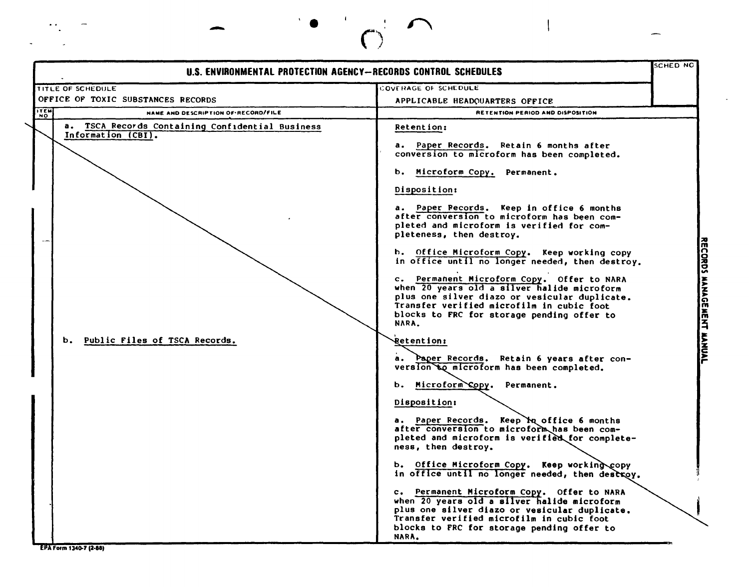| U.S. ENVIRONMENTAL PROTECTION AGENCY--RECORDS CONTROL SCHEDULES        |                                                                                                                                                                                                                                                                                                                                                                                                                                                                                                                                                                                                                                                                                       | SCHED NC |
|------------------------------------------------------------------------|---------------------------------------------------------------------------------------------------------------------------------------------------------------------------------------------------------------------------------------------------------------------------------------------------------------------------------------------------------------------------------------------------------------------------------------------------------------------------------------------------------------------------------------------------------------------------------------------------------------------------------------------------------------------------------------|----------|
| <b>TITLE OF SCHEDULE</b>                                               | COVERAGE OF SCHEDULE                                                                                                                                                                                                                                                                                                                                                                                                                                                                                                                                                                                                                                                                  |          |
| OFFICE OF TOXIC SUBSTANCES RECORDS                                     | APPLICABLE HEADQUARTERS OFFICE                                                                                                                                                                                                                                                                                                                                                                                                                                                                                                                                                                                                                                                        |          |
| <b>ITEM</b><br>NAME AND DESCRIPTION OF RECORD/FILE                     | RETENTION PERIOD AND DISPOSITION                                                                                                                                                                                                                                                                                                                                                                                                                                                                                                                                                                                                                                                      |          |
| a. TSCA Records Containing Confidential Business<br>Information (CBI). | Retention:<br>a. Paper Records. Retain 6 months after<br>conversion to microform has been completed.<br>b. Microform Copy. Permanent.<br>Disposition:<br>a. Paper Pecords. Keep in office 6 months<br>after conversion to microform has been com-<br>pleted and microform is verified for com-<br>pleteness, then destroy.<br>b. Office Microform Copy. Keep working copy<br>in office until no longer needed, then destroy.<br>c. Permanent Microform Copy. Offer to NARA<br>when 20 years old a silver halide microform<br>plus one silver diazo or vesicular duplicate.<br>Transfer verified microfilm in cubic foot<br>blocks to FRC for storage pending offer to<br><b>NARA.</b> |          |
| b. Public Files of TSCA Records.                                       | <b>Retention:</b><br>Paper Records. Retain 6 years after con-<br>а.<br>version to microform has been completed.<br>Microform Copy. Permanent.<br>ь.<br>Disposition:<br>a. Paper Records. Keep Mq office 6 months<br>after conversion to microform has been com-<br>pleted and microform is verified for complete-<br>ness, then destroy.<br>b. Office Microform Copy. Keep working copy<br>in office until no longer needed, then destroy.<br>c. Permanent Microform Copy. Offer to NARA<br>when 20 years old a silver halide microform<br>plus one silver diazo or vesicular duplicate.<br>Transfer verified microfilm in cubic foot<br>blocks to FRC for storage pending offer to   |          |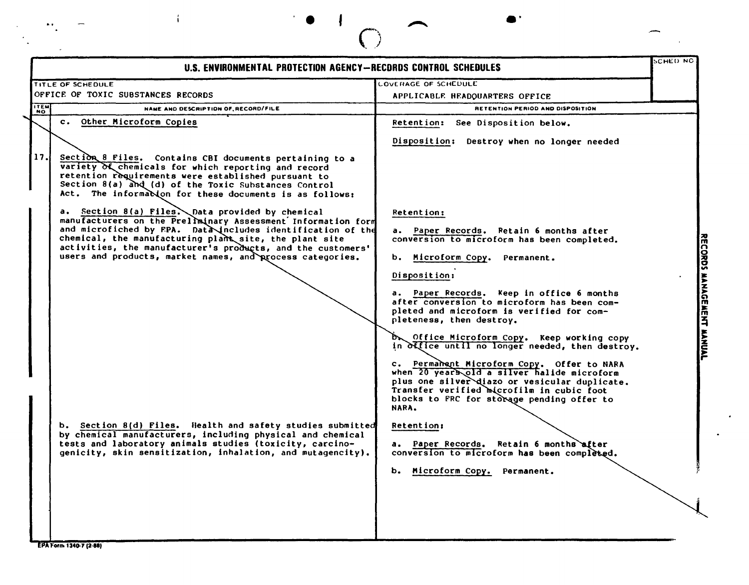|            | U.S. ENVIRONMENTAL PROTECTION AGENCY-RECORDS CONTROL SCHEDULES                                                                                                                                                                                                                                                                                                        |                                                                                                                                                                                                                                                                                                          | SCHED NG |
|------------|-----------------------------------------------------------------------------------------------------------------------------------------------------------------------------------------------------------------------------------------------------------------------------------------------------------------------------------------------------------------------|----------------------------------------------------------------------------------------------------------------------------------------------------------------------------------------------------------------------------------------------------------------------------------------------------------|----------|
|            | TITLE OF SCHEDULE                                                                                                                                                                                                                                                                                                                                                     | <b>COVERAGE OF SCHEDULE</b>                                                                                                                                                                                                                                                                              |          |
|            | OFFICE OF TOXIC SUBSTANCES RECORDS                                                                                                                                                                                                                                                                                                                                    | APPLICABLE HEADOUARTERS OFFICE                                                                                                                                                                                                                                                                           |          |
| <b>TEM</b> | NAME AND DESCRIPTION OF RECORD/FILE                                                                                                                                                                                                                                                                                                                                   | RETENTION PERIOD AND DISPOSITION                                                                                                                                                                                                                                                                         |          |
|            | c. Other Microform Copies                                                                                                                                                                                                                                                                                                                                             | <b>Retention:</b><br>See Disposition below.                                                                                                                                                                                                                                                              |          |
|            |                                                                                                                                                                                                                                                                                                                                                                       | Disposition: Destroy when no longer needed                                                                                                                                                                                                                                                               |          |
| 17.        | Section 8 Files. Contains CBI documents pertaining to a<br>variety of chemicals for which reporting and record<br>retention requirements were established pursuant to<br>Section 8(a) and (d) of the Toxic Substances Control<br>Act. The informacion for these documents is as follows:                                                                              |                                                                                                                                                                                                                                                                                                          |          |
|            | a. Section 8(a) Files. Data provided by chemical<br>manufacturers on the Prellminary Assessment Information form<br>and microfiched by FPA. Data includes identification of the<br>chemical, the manufacturing plant site, the plant site<br>activities, the manufacturer's products, and the customers'<br>users and products, market names, and process categories. | Retention:<br>a. Paper Records. Retain 6 months after<br>conversion to microform has been completed.<br>b. Microform Copy. Permanent.                                                                                                                                                                    |          |
|            |                                                                                                                                                                                                                                                                                                                                                                       | Disposition:<br>a. Paper Records. Keep in office 6 months<br>after conversion to microform has been com-<br>pleted and microform is verified for com-<br>pleteness, then destroy.<br>Dr Office Microform Copy. Keep working copy                                                                         |          |
|            |                                                                                                                                                                                                                                                                                                                                                                       | in office until no longer needed, then destroy.<br>c. Permanent Microform Copy. Offer to NARA<br>when 20 years old a silver halide microform<br>plus one silver diazo or vesicular duplicate.<br>Transfer verified microfilm in cubic foot<br>blocks to FRC for storage pending offer to<br><b>NARA.</b> |          |
|            | b. Section 8(d) Files. Health and safety studies submitted<br>by chemical manufacturers, including physical and chemical<br>tests and laboratory animals studies (toxicity, carcino-<br>genicity, skin sensitization, inhalation, and mutagencity).                                                                                                                   | Retention:<br>a. Paper Records, Retain 6 months after<br>conversion to microform has been completed.<br>Microform Copy.<br>Permanent.<br>ь.                                                                                                                                                              |          |

 $\bullet$   $\bullet$   $\bullet$   $\bullet$   $\bullet$ 

 $\mathbf{I}$ 

 $\epsilon$  $\sim$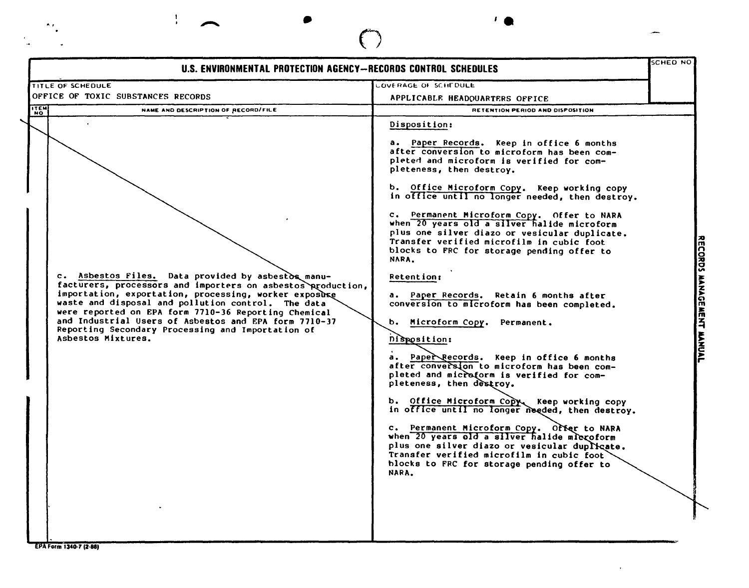|                                    | U.S. ENVIRONMENTAL PROTECTION AGENCY-RECORDS CONTROL SCHEDULES                                                                                                                                                                                                                                                                                                                                         |                                                                                                                                                                                                                                                                                                                                                                                                                                                                                                                                                                                                                                                                                                                                                                                                                                                                                                                                                                                                                                                                                                                                                                                                                                   | <b>SCHED NO</b>           |
|------------------------------------|--------------------------------------------------------------------------------------------------------------------------------------------------------------------------------------------------------------------------------------------------------------------------------------------------------------------------------------------------------------------------------------------------------|-----------------------------------------------------------------------------------------------------------------------------------------------------------------------------------------------------------------------------------------------------------------------------------------------------------------------------------------------------------------------------------------------------------------------------------------------------------------------------------------------------------------------------------------------------------------------------------------------------------------------------------------------------------------------------------------------------------------------------------------------------------------------------------------------------------------------------------------------------------------------------------------------------------------------------------------------------------------------------------------------------------------------------------------------------------------------------------------------------------------------------------------------------------------------------------------------------------------------------------|---------------------------|
| <b>TITLE OF SCHEDULE</b>           |                                                                                                                                                                                                                                                                                                                                                                                                        | <b>LOVERAGE OF SCHEDULE</b>                                                                                                                                                                                                                                                                                                                                                                                                                                                                                                                                                                                                                                                                                                                                                                                                                                                                                                                                                                                                                                                                                                                                                                                                       |                           |
| OFFICE OF TOXIC SUBSTANCES RECORDS |                                                                                                                                                                                                                                                                                                                                                                                                        | APPLICABLE HEADQUARTERS OFFICE                                                                                                                                                                                                                                                                                                                                                                                                                                                                                                                                                                                                                                                                                                                                                                                                                                                                                                                                                                                                                                                                                                                                                                                                    |                           |
| <b>ITEM</b>                        | NAME AND DESCRIPTION OF RECORD/FILE                                                                                                                                                                                                                                                                                                                                                                    | RETENTION PERIOD AND DISPOSITION                                                                                                                                                                                                                                                                                                                                                                                                                                                                                                                                                                                                                                                                                                                                                                                                                                                                                                                                                                                                                                                                                                                                                                                                  |                           |
| Ashestos Mixtures.                 | c. Asbestos Files. Data provided by asbestos manu-<br>facturers, processors and importers on asbestos production,<br>importation, exportation, processing, worker exposure<br>waste and disposal and pollution control. The data<br>were reported on EPA form 7710-36 Reporting Chemical<br>and Industrial Users of Asbestos and EPA form 7710-37<br>Reporting Secondary Processing and Importation of | Disposition:<br>a. Paper Records. Keep in office 6 months<br>after conversion to microform has been com-<br>pleted and microform is verified for com-<br>pleteness, then destroy.<br>b. Office Microform Copy. Keep working copy<br>in office until no longer needed, then destroy.<br>c. Permanent Microform Copy. Offer to NARA<br>when 20 years old a silver halide microform<br>plus one silver diazo or vesicular duplicate.<br>Transfer verified microfilm in cubic foot<br>blocks to FRC for storage pending offer to<br>NARA.<br><b>Retention:</b><br>a. Paper Records. Retain 6 months after<br>conversion to microform has been completed.<br>ь.<br>Microform Copy. Permanent.<br>Disposition:<br>a. Paper Records. Keep in office 6 months<br>after conversion to microform has been com-<br>pleted and microform is verified for com-<br>pleteness, then destroy.<br>b. Office Microform Copy. Keep working copy<br>in office until no longer needed, then destroy.<br>c. Permanent Microform Copy. Offer to NARA<br>when 20 years old a silver halide mlcroform<br>plus one silver diazo or vesicular duplicate.<br>Transfer verified microfilm in cubic foot<br>blocks to FRC for storage pending offer to<br>NARA. | RECORDS MANAGEMENT MANUAL |

 $\langle \sigma \rangle$ 

 $\bigodot$ 

.. • **'e**

EPA Form 1340-7 (2-88)

 $\mathbf{r}$ 

 $\overline{\phantom{0}}$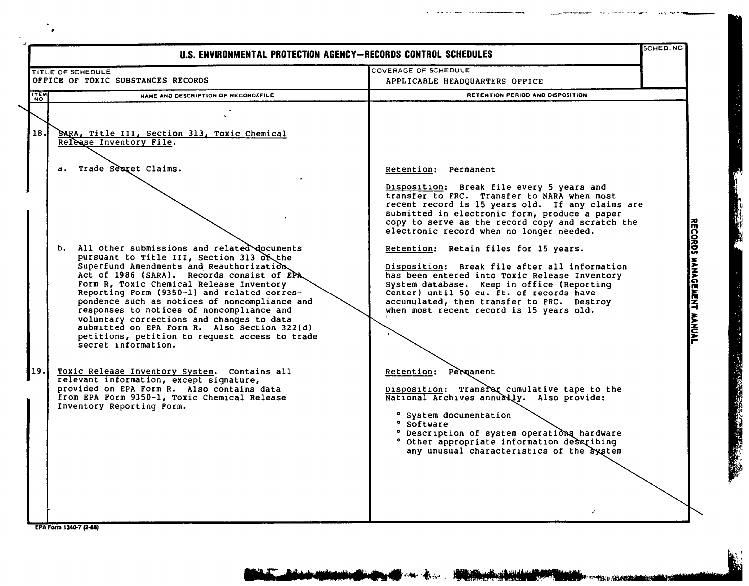|            | SCHED.NO<br>U.S. ENVIRONMENTAL PROTECTION AGENCY-RECORDS CONTROL SCHEDULES                                                                                                                                                                                                                                                                                                                                                                                                                                                                                                                                                                                                                                                                                                                                                                                                       |                                                                                                                                                                                                                                                                                                                                                                                                                                                                                                                                                                                                                                                                                                                                                                                                                                                                                                                                                             |                           |
|------------|----------------------------------------------------------------------------------------------------------------------------------------------------------------------------------------------------------------------------------------------------------------------------------------------------------------------------------------------------------------------------------------------------------------------------------------------------------------------------------------------------------------------------------------------------------------------------------------------------------------------------------------------------------------------------------------------------------------------------------------------------------------------------------------------------------------------------------------------------------------------------------|-------------------------------------------------------------------------------------------------------------------------------------------------------------------------------------------------------------------------------------------------------------------------------------------------------------------------------------------------------------------------------------------------------------------------------------------------------------------------------------------------------------------------------------------------------------------------------------------------------------------------------------------------------------------------------------------------------------------------------------------------------------------------------------------------------------------------------------------------------------------------------------------------------------------------------------------------------------|---------------------------|
|            | TITLE OF SCHEDULE                                                                                                                                                                                                                                                                                                                                                                                                                                                                                                                                                                                                                                                                                                                                                                                                                                                                | COVERAGE OF SCHEDULE                                                                                                                                                                                                                                                                                                                                                                                                                                                                                                                                                                                                                                                                                                                                                                                                                                                                                                                                        |                           |
|            | OFFICE OF TOXIC SUBSTANCES RECORDS                                                                                                                                                                                                                                                                                                                                                                                                                                                                                                                                                                                                                                                                                                                                                                                                                                               | APPLICABLE HEADQUARTERS OFFICE                                                                                                                                                                                                                                                                                                                                                                                                                                                                                                                                                                                                                                                                                                                                                                                                                                                                                                                              |                           |
| <b>TEM</b> | NAME AND DESCRIPTION OF RECORDAFILE                                                                                                                                                                                                                                                                                                                                                                                                                                                                                                                                                                                                                                                                                                                                                                                                                                              | RETENTION PERIOD AND DISPOSITION                                                                                                                                                                                                                                                                                                                                                                                                                                                                                                                                                                                                                                                                                                                                                                                                                                                                                                                            |                           |
| 18.<br>19. | SARA, Title III, Section 313, Toxic Chemical<br>Release Inventory File.<br>a. Trade Sesret Claims.<br>b. All other submissions and related documents<br>pursuant to Title III, Section 313 of the<br>Superfund Amendments and Reauthorization<br>Act of 1986 (SARA). Records consist of EPA<br>Form R, Toxic Chemical Release Inventory<br>Reporting Form (9350-1) and related corres-<br>pondence such as notices of noncompliance and<br>responses to notices of noncompliance and<br>voluntary corrections and changes to data<br>submitted on EPA Form R. Also Section 322(d)<br>petitions, petition to request access to trade<br>secret information.<br>Toxic Release Inventory System. Contains all<br>relevant information, except signature,<br>provided on EPA Form R. Also contains data<br>from EPA Form 9350-1, Toxic Chemical Release<br>Inventory Reporting Form. | Retention: Permanent<br>Disposition: Break file every 5 years and<br>transfer to FRC. Transfer to NARA when most<br>recent record is 15 years old. If any claims are<br>submitted in electronic form, produce a paper<br>copy to serve as the record copy and scratch the<br>electronic record when no longer needed.<br>Retention: Retain files for 15 years.<br>Disposition: Break file after all information<br>has been entered into Toxic Release Inventory<br>System database. Keep in office (Reporting<br>Center) until 50 cu. ft. of records have<br>accumulated, then transfer to FRC. Destroy<br>when most recent record is 15 years old.<br>Retention: Permanent<br>Disposition: Transfer cumulative tape to the<br>National Archives annually. Also provide:<br>° System documentation<br>° Software<br>° Description of system operations hardware<br>° Other appropriate information describing<br>any unusual characteristics of the system | RECORDS MANAGEMENT MANUAL |

- -- -- -- ------

EPA Form 1340-7 (2-88)

J.